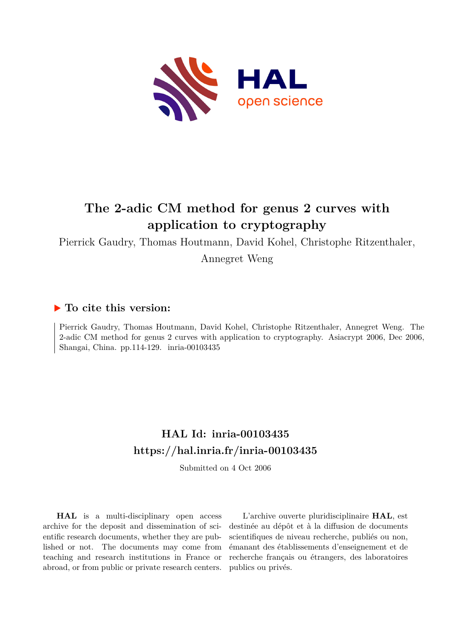

# **The 2-adic CM method for genus 2 curves with application to cryptography**

Pierrick Gaudry, Thomas Houtmann, David Kohel, Christophe Ritzenthaler,

Annegret Weng

# **To cite this version:**

Pierrick Gaudry, Thomas Houtmann, David Kohel, Christophe Ritzenthaler, Annegret Weng. The 2-adic CM method for genus 2 curves with application to cryptography. Asiacrypt 2006, Dec 2006, Shangai, China. pp.114-129. inria-00103435

# **HAL Id: inria-00103435 <https://hal.inria.fr/inria-00103435>**

Submitted on 4 Oct 2006

**HAL** is a multi-disciplinary open access archive for the deposit and dissemination of scientific research documents, whether they are published or not. The documents may come from teaching and research institutions in France or abroad, or from public or private research centers.

L'archive ouverte pluridisciplinaire **HAL**, est destinée au dépôt et à la diffusion de documents scientifiques de niveau recherche, publiés ou non, émanant des établissements d'enseignement et de recherche français ou étrangers, des laboratoires publics ou privés.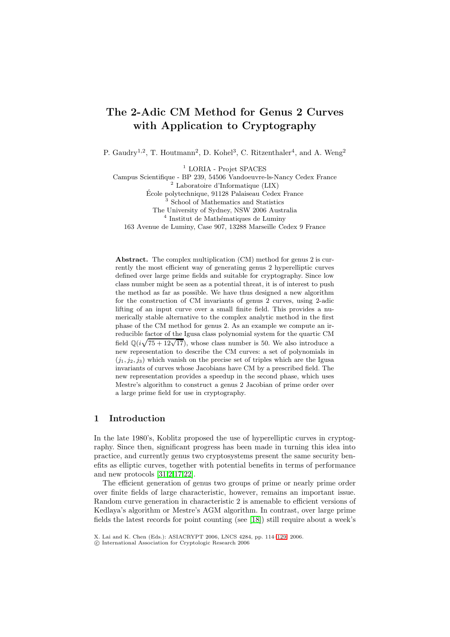# **The 2-Adic CM Method for Genus 2 Curves with Application to Cryptography**

P. Gaudry<sup>1,2</sup>, T. Houtmann<sup>2</sup>, D. Kohel<sup>3</sup>, C. Ritzenthaler<sup>4</sup>, and A. Weng<sup>2</sup>

<sup>1</sup> LORIA - Projet SPACES

Campus Scientifique - BP 239, 54506 Vandoeuvre-ls-Nancy Cedex France <sup>2</sup> Laboratoire d'Informatique (LIX) Ecole polytechnique, 91128 Palaiseau Cedex France ´ <sup>3</sup> School of Mathematics and Statistics The University of Sydney, NSW 2006 Australia  $4$  Institut de Mathématiques de Luminy 163 Avenue de Luminy, Case 907, 13288 Marseille Cedex 9 France

**Abstract.** The complex multiplication (CM) method for genus 2 is currently the most efficient way of generating genus 2 hyperelliptic curves defined over large prime fields and suitable for cryptography. Since low class number might be seen as a potential threat, it is of interest to push the method as far as possible. We have thus designed a new algorithm for the construction of CM invariants of genus 2 curves, using 2-adic lifting of an input curve over a small finite field. This provides a numerically stable alternative to the complex analytic method in the first phase of the CM method for genus 2. As an example we compute an irreducible factor of the Igusa class polynomial system for the quartic CM field  $\mathbb{Q}(i\sqrt{75+12\sqrt{17}})$ , whose class number is 50. We also introduce a new representation to describe the CM curves: a set of polynomials in  $(j_1, j_2, j_3)$  which vanish on the precise set of triples which are the Igusa invariants of curves whose Jacobians have CM by a prescribed field. The new representation provides a speedup in the second phase, which uses Mestre's algorithm to construct a genus 2 Jacobian of prime order over a large prime field for use in cryptography.

# **1 Introduction**

In the late 1980's, Koblitz proposed the use of hyperelliptic curves in cryptography. Since then, significant progress has been made in turning this idea into practice, and currently genus two cryptosystems present the same security benefits as elliptic curves, together with potential benefits in terms of performance and new protocols [31,2,17,22].

The efficient generation of genus two groups of prime or nearly prime order over finite fields of large characteristic, however, remains an important issue. Random curve generation in characteristic 2 is amenable to efficient versions of Kedlaya's algorithm or Mestre's AGM algorithm. In contrast, over large prime fields the latest records for point counting (see [18]) still require about a week's

X. Lai and K. Chen (Eds.): ASIACRYPT 2006, LNCS 4284, pp. 114–129, 2006.

<sup>-</sup>c International Association for Cryptologic Research 2006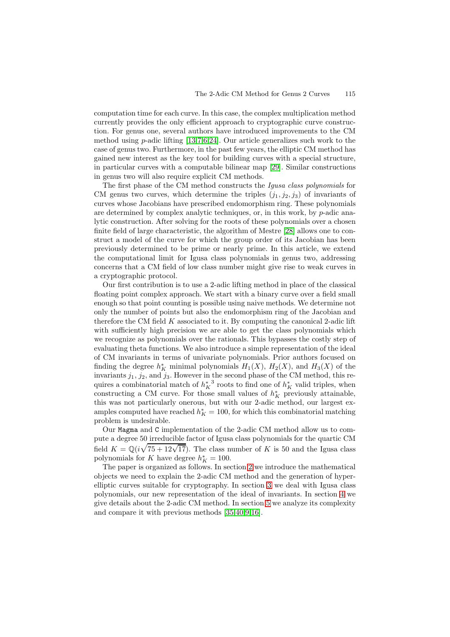computation time for each curve. In this case, the complex multiplication method currently provides the only efficient approach to cryptographic curve construction. For genus one, several authors have introduced improvements to the CM method using  $p$ -adic lifting [13,7,6,24]. Our article generalizes such work to the case of genus two. Furthermore, in the past few years, the elliptic CM method has gained new interest as the key tool for building curves with a special structure, in particular curves with a computable bilinear map [29]. Similar constructions in genus two will also require explicit CM methods.

The first phase of the CM method constructs the *Igusa class polynomials* for CM genus two curves, which determine the triples  $(j_1, j_2, j_3)$  of invariants of curves whose Jacobians have prescribed endomorphism ring. These polynomials are determined by complex analytic techniques, or, in this work, by p-adic analytic construction. After solving for the roots of these polynomials over a chosen finite field of large characteristic, the algorithm of Mestre [28] allows one to construct a model of the curve for which the group order of its Jacobian has been previously determined to be prime or nearly prime. In this article, we extend the computational limit for Igusa class polynomials in genus two, addressing concerns that a CM field of low class number might give rise to weak curves in a cryptographic protocol.

Our first contribution is to use a 2-adic lifting method in place of the classical floating point complex approach. We start with a binary curve over a field small enough so that point counting is possible using naive methods. We determine not only the number of points but also the endomorphism ring of the Jacobian and therefore the CM field  $K$  associated to it. By computing the canonical 2-adic lift with sufficiently high precision we are able to get the class polynomials which we recognize as polynomials over the rationals. This bypasses the costly step of evaluating theta functions. We also introduce a simple representation of the ideal of CM invariants in terms of univariate polynomials. Prior authors focused on finding the degree  $h_K^*$  minimal polynomials  $H_1(X)$ ,  $H_2(X)$ , and  $H_3(X)$  of the invariants  $j_1$ ,  $j_2$ , and  $j_3$ . However in the second phase of the CM method, this requires a combinatorial match of  $h_K^*$ <sup>3</sup> roots to find one of  $h_K^*$  valid triples, when constructing a CM curve. For those small values of  $h_K^*$  previously attainable, this was not particularly onerous, but with our 2-adic method, our largest examples computed have reached  $h_K^* = 100$ , for which this combinatorial matching problem is undesirable.

Our Magma and C implementation of the 2-adic CM method allow us to compute a degree 50 irreducible factor of Igusa class polynomials for the quartic CM field  $K = \mathbb{Q}(i\sqrt{75 + 12\sqrt{17}})$ . The class number of K is 50 and the Igusa class polynomials for K have degree  $h_K^* = 100$ .

The paper is organized as follows. In section 2 we introduce the mathematical objects we need to explain the 2-adic CM method and the generation of hyperelliptic curves suitable for cryptography. In section 3 we deal with Igusa class polynomials, our new representation of the ideal of invariants. In section 4 we give details about the 2-adic CM method. In section 5 we analyze its complexity and compare it with previous methods [35,40,9,16].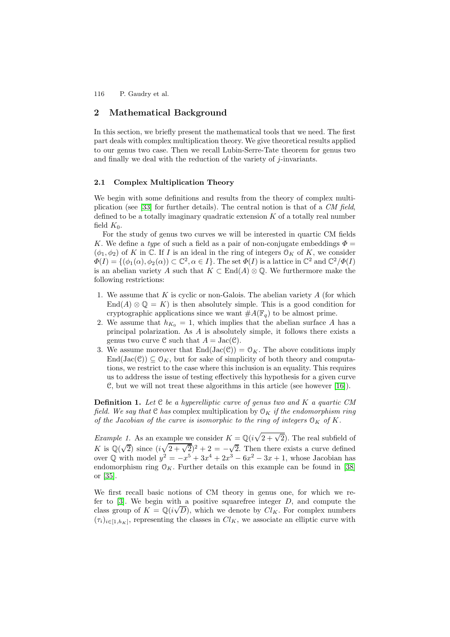# **2 Mathematical Background**

In this section, we briefly present the mathematical tools that we need. The first part deals with complex multiplication theory. We give theoretical results applied to our genus two case. Then we recall Lubin-Serre-Tate theorem for genus two and finally we deal with the reduction of the variety of  $j$ -invariants.

#### **2.1 Complex Multiplication Theory**

We begin with some definitions and results from the theory of complex multiplication (see [33] for further details). The central notion is that of a *CM field*, defined to be a totally imaginary quadratic extension K of a totally real number field  $K_0$ .

For the study of genus two curves we will be interested in quartic CM fields K. We define a *type* of such a field as a pair of non-conjugate embeddings  $\Phi =$  $(\phi_1, \phi_2)$  of K in C. If I is an ideal in the ring of integers  $\mathcal{O}_K$  of K, we consider  $\Phi(I) = \{(\phi_1(\alpha), \phi_2(\alpha)) \subset \mathbb{C}^2, \alpha \in I\}$ . The set  $\Phi(I)$  is a lattice in  $\mathbb{C}^2$  and  $\mathbb{C}^2/\Phi(I)$ is an abelian variety A such that  $K \subset \text{End}(A) \otimes \mathbb{Q}$ . We furthermore make the following restrictions:

- 1. We assume that  $K$  is cyclic or non-Galois. The abelian variety  $A$  (for which  $\text{End}(A) \otimes \mathbb{Q} = K$  is then absolutely simple. This is a good condition for cryptographic applications since we want  $#A(\mathbb{F}_q)$  to be almost prime.
- 2. We assume that  $h_{K_0} = 1$ , which implies that the abelian surface A has a principal polarization. As A is absolutely simple, it follows there exists a genus two curve  $\mathfrak C$  such that  $A = \text{Jac}(\mathfrak C)$ .
- 3. We assume moreover that  $End(Jac(\mathcal{C})) = \mathcal{O}_K$ . The above conditions imply  $\text{End}(\text{Jac}(\mathcal{C})) \subseteq \mathcal{O}_K$ , but for sake of simplicity of both theory and computations, we restrict to the case where this inclusion is an equality. This requires us to address the issue of testing effectively this hypothesis for a given curve C, but we will not treat these algorithms in this article (see however [16]).

**Definition 1.** *Let* C *be a hyperelliptic curve of genus two and* K *a quartic CM field. We say that* C *has* complex multiplication by  $O_K$  *if the endomorphism ring of the Jacobian of the curve is isomorphic to the ring of integers*  $O_K$  *of*  $K$ *.* 

*Example 1.* As an example we consider  $K = \mathbb{Q}(i\sqrt{2 + \sqrt{2}})$ . The real subfield of Example 1. The an example we consider  $K = \sqrt{(v^2 + v^2)}$ . The real station of  $K$  is  $\mathbb{Q}(\sqrt{2})$  since  $(i\sqrt{2 + \sqrt{2}})^2 + 2 = -\sqrt{2}$ . Then there exists a curve defined over  $\overline{\mathbb{Q}}$  with model  $y^2 = -x^5 + 3x^4 + 2x^3 - 6x^2 - 3x + 1$ , whose Jacobian has endomorphism ring  $\mathcal{O}_K$ . Further details on this example can be found in [38] or [35].

We first recall basic notions of CM theory in genus one, for which we refer to [3]. We begin with a positive squarefree integer  $D$ , and compute the class group of  $K = \mathbb{Q}(i\sqrt{D})$ , which we denote by  $Cl_K$ . For complex numbers  $(\tau_i)_{i\in[1,h_K]}$ , representing the classes in  $Cl_K$ , we associate an elliptic curve with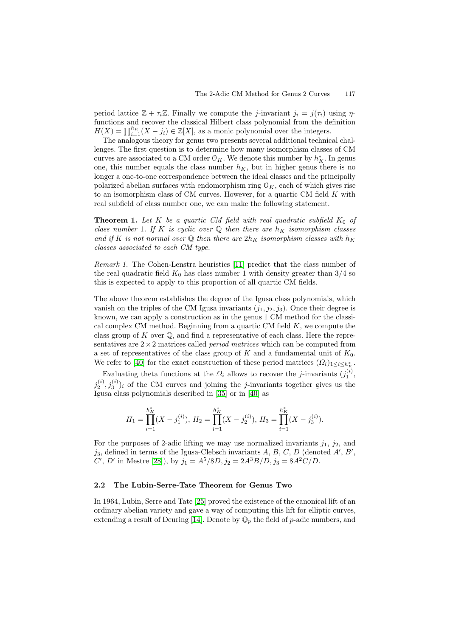period lattice  $\mathbb{Z} + \tau_i \mathbb{Z}$ . Finally we compute the *j*-invariant  $j_i = j(\tau_i)$  using  $\eta$ functions and recover the classical Hilbert class polynomial from the definition  $H(X) = \prod_{i=1}^{h_K} (X - j_i) \in \mathbb{Z}[X]$ , as a monic polynomial over the integers.

The analogous theory for genus two presents several additional technical challenges. The first question is to determine how many isomorphism classes of CM curves are associated to a CM order  $\mathcal{O}_K$ . We denote this number by  $h_K^*$ . In genus one, this number equals the class number  $h_K$ , but in higher genus there is no longer a one-to-one correspondence between the ideal classes and the principally polarized abelian surfaces with endomorphism ring  $\mathcal{O}_K$ , each of which gives rise to an isomorphism class of CM curves. However, for a quartic CM field K with real subfield of class number one, we can make the following statement.

**Theorem 1.** Let K be a quartic CM field with real quadratic subfield  $K_0$  of *class number* 1*. If* K *is cyclic over*  $\mathbb{Q}$  *then there are*  $h_K$  *isomorphism classes* and if K is not normal over  $\mathbb Q$  then there are  $2h_K$  isomorphism classes with  $h_K$ *classes associated to each CM type.*

*Remark 1.* The Cohen-Lenstra heuristics [11] predict that the class number of the real quadratic field  $K_0$  has class number 1 with density greater than  $3/4$  so this is expected to apply to this proportion of all quartic CM fields.

The above theorem establishes the degree of the Igusa class polynomials, which vanish on the triples of the CM Igusa invariants  $(j_1, j_2, j_3)$ . Once their degree is known, we can apply a construction as in the genus 1 CM method for the classical complex CM method. Beginning from a quartic CM field  $K$ , we compute the class group of  $K$  over  $\mathbb{Q}$ , and find a representative of each class. Here the representatives are 2×2 matrices called *period matrices* which can be computed from a set of representatives of the class group of K and a fundamental unit of  $K_0$ . We refer to [40] for the exact construction of these period matrices  $(\Omega_i)_{1 \leq i \leq h_K^*}$ .

Evaluating theta functions at the  $\Omega_i$  allows to recover the j-invariants  $(j_1^{(i)},$  $(j_2^{(i)}, j_3^{(i)})_i$  of the CM curves and joining the *j*-invariants together gives us the Igusa class polynomials described in [35] or in [40] as

$$
H_1 = \prod_{i=1}^{h_K^*} (X - j_1^{(i)}), H_2 = \prod_{i=1}^{h_K^*} (X - j_2^{(i)}), H_3 = \prod_{i=1}^{h_K^*} (X - j_3^{(i)}).
$$

For the purposes of 2-adic lifting we may use normalized invariants  $j_1$ ,  $j_2$ , and  $j_3$ , defined in terms of the Igusa-Clebsch invariants  $A, B, C, D$  (denoted  $A', B',$ C', D' in Mestre [28]), by  $j_1 = A^5/8D$ ,  $j_2 = 2A^3B/D$ ,  $j_3 = 8A^2C/D$ .

#### **2.2 The Lubin-Serre-Tate Theorem for Genus Two**

In 1964, Lubin, Serre and Tate [25] proved the existence of the canonical lift of an ordinary abelian variety and gave a way of computing this lift for elliptic curves, extending a result of Deuring [14]. Denote by  $\mathbb{Q}_p$  the field of p-adic numbers, and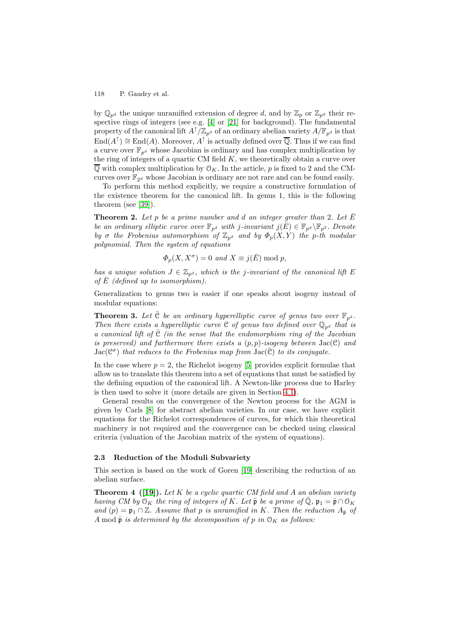by  $\mathbb{Q}_{p^d}$  the unique unramified extension of degree d, and by  $\mathbb{Z}_p$  or  $\mathbb{Z}_{p^d}$  their respective rings of integers (see e.g. [4] or [21] for background). The fundamental property of the canonical lift  $A^{\dagger}/\mathbb{Z}_{p^d}$  of an ordinary abelian variety  $A/\mathbb{F}_{p^d}$  is that  $\text{End}(A^{\uparrow}) \cong \text{End}(A)$ . Moreover,  $A^{\uparrow}$  is actually defined over  $\overline{\mathbb{Q}}$ . Thus if we can find a curve over  $\mathbb{F}_{p^d}$  whose Jacobian is ordinary and has complex multiplication by the ring of integers of a quartic CM field  $K$ , we theoretically obtain a curve over  $\overline{\mathbb{Q}}$  with complex multiplication by  $\mathcal{O}_K$ . In the article, p is fixed to 2 and the CMcurves over  $\mathbb{F}_{2^d}$  whose Jacobian is ordinary are not rare and can be found easily.

To perform this method explicitly, we require a constructive formulation of the existence theorem for the canonical lift. In genus 1, this is the following theorem (see [39]).

**Theorem 2.** Let p be a prime number and d an integer greater than 2. Let E *be an ordinary elliptic curve over*  $\mathbb{F}_{p^d}$  *with j*-*invariant*  $j(E) \in \mathbb{F}_{p^d} \backslash \mathbb{F}_{p^2}$ *. Denote by*  $\sigma$  *the Frobenius automorphism of*  $\mathbb{Z}_{p^d}$  *and by*  $\Phi_p(X, Y)$  *the* p-th modular *polynomial. Then the system of equations*

$$
\Phi_p(X, X^{\sigma}) = 0
$$
 and  $X \equiv j(\bar{E}) \text{ mod } p$ ,

*has a unique solution*  $J \in \mathbb{Z}_{p^d}$ *, which is the j-invariant of the canonical lift* E *of* E¯ *(defined up to isomorphism).*

Generalization to genus two is easier if one speaks about isogeny instead of modular equations:

**Theorem 3.** Let  $\overline{C}$  be an ordinary hyperelliptic curve of genus two over  $\mathbb{F}_{p^d}$ . *Then there exists a hyperelliptic curve*  $C$  *of genus two defined over*  $\mathbb{Q}_{p^d}$  *that is a canonical lift of*  $\overline{e}$  *(in the sense that the endomorphism ring of the Jacobian is preserved) and furthermore there exists a* (p, p)*-isogeny between* Jac(C) *and*  $Jac(\mathcal{C}^{\sigma})$  *that reduces to the Frobenius map from*  $Jac(\overline{\mathcal{C}})$  *to its conjugate.* 

In the case where  $p = 2$ , the Richelot isogeny [5] provides explicit formulae that allow us to translate this theorem into a set of equations that must be satisfied by the defining equation of the canonical lift. A Newton-like process due to Harley is then used to solve it (more details are given in Section 4.1).

General results on the convergence of the Newton process for the AGM is given by Carls [8] for abstract abelian varieties. In our case, we have explicit equations for the Richelot correspondences of curves, for which this theoretical machinery is not required and the convergence can be checked using classical criteria (valuation of the Jacobian matrix of the system of equations).

#### **2.3 Reduction of the Moduli Subvariety**

This section is based on the work of Goren [19] describing the reduction of an abelian surface.

**Theorem 4 ([19]).** *Let* K *be a cyclic quartic CM field and* A *an abelian variety having CM by*  $\mathcal{O}_K$  *the ring of integers of* K. Let  $\bar{\mathfrak{p}}$  *be a prime of*  $\bar{\mathbb{Q}}$ ,  $\mathfrak{p}_1 = \bar{\mathfrak{p}} \cap \mathcal{O}_K$ *and*  $(p) = p_1 \cap \mathbb{Z}$ *. Assume that* p *is unramified in* K*. Then the reduction*  $A_{\bar{p}}$  of A mod  $\bar{p}$  *is determined by the decomposition of* p *in*  $O_K$  *as follows:*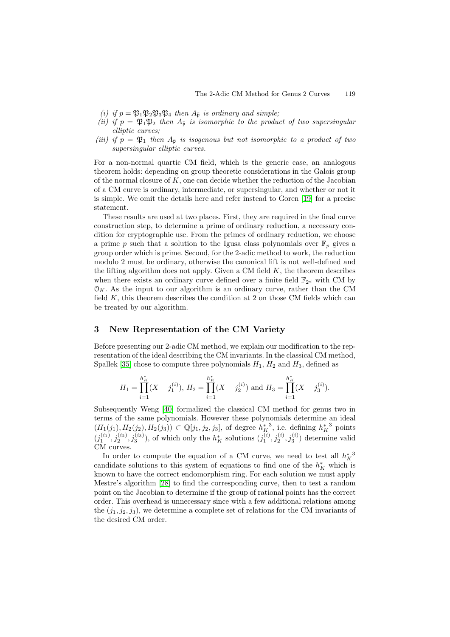- *(i)* if  $p = \mathfrak{P}_1 \mathfrak{P}_2 \mathfrak{P}_3 \mathfrak{P}_4$  *then*  $A_{\bar{p}}$  *is ordinary and simple;*
- *(ii)* if  $p = \mathfrak{P}_1 \mathfrak{P}_2$  *then*  $A_{\bar{\mathfrak{p}}}$  *is isomorphic to the product of two supersingular elliptic curves;*
- *(iii)* if  $p = \mathfrak{P}_1$  then  $A_{\bar{\mathfrak{p}}}$  is isogenous but not isomorphic to a product of two *supersingular elliptic curves.*

For a non-normal quartic CM field, which is the generic case, an analogous theorem holds: depending on group theoretic considerations in the Galois group of the normal closure of K, one can decide whether the reduction of the Jacobian of a CM curve is ordinary, intermediate, or supersingular, and whether or not it is simple. We omit the details here and refer instead to Goren [19] for a precise statement.

These results are used at two places. First, they are required in the final curve construction step, to determine a prime of ordinary reduction, a necessary condition for cryptographic use. From the primes of ordinary reduction, we choose a prime p such that a solution to the Igusa class polynomials over  $\mathbb{F}_p$  gives a group order which is prime. Second, for the 2-adic method to work, the reduction modulo 2 must be ordinary, otherwise the canonical lift is not well-defined and the lifting algorithm does not apply. Given a CM field  $K$ , the theorem describes when there exists an ordinary curve defined over a finite field  $\mathbb{F}_{2^d}$  with CM by  $\mathcal{O}_K$ . As the input to our algorithm is an ordinary curve, rather than the CM field  $K$ , this theorem describes the condition at 2 on those CM fields which can be treated by our algorithm.

# **3 New Representation of the CM Variety**

Before presenting our 2-adic CM method, we explain our modification to the representation of the ideal describing the CM invariants. In the classical CM method, Spallek [35] chose to compute three polynomials  $H_1$ ,  $H_2$  and  $H_3$ , defined as

$$
H_1 = \prod_{i=1}^{h_K^*} (X - j_1^{(i)}), H_2 = \prod_{i=1}^{h_K^*} (X - j_2^{(i)}) \text{ and } H_3 = \prod_{i=1}^{h_K^*} (X - j_3^{(i)}).
$$

Subsequently Weng [40] formalized the classical CM method for genus two in terms of the same polynomials. However these polynomials determine an ideal  $(H_1(j_1), H_2(j_2), H_2(j_3)) \subset \mathbb{Q}[j_1, j_2, j_3]$ , of degree  $h_K^{*3}$ , i.e. defining  $h_K^{*3}$  points  $(j_1^{(i_1)}, j_2^{(i_2)}, j_3^{(i_3)})$ , of which only the  $h_K^*$  solutions  $(j_1^{(i)}, j_2^{(i)}, j_3^{(i)})$  determine valid CM curves.

In order to compute the equation of a CM curve, we need to test all  $h_K^*$ <sup>3</sup> candidate solutions to this system of equations to find one of the  $h_K^*$  which is known to have the correct endomorphism ring. For each solution we must apply Mestre's algorithm [28] to find the corresponding curve, then to test a random point on the Jacobian to determine if the group of rational points has the correct order. This overhead is unnecessary since with a few additional relations among the  $(i_1, i_2, i_3)$ , we determine a complete set of relations for the CM invariants of the desired CM order.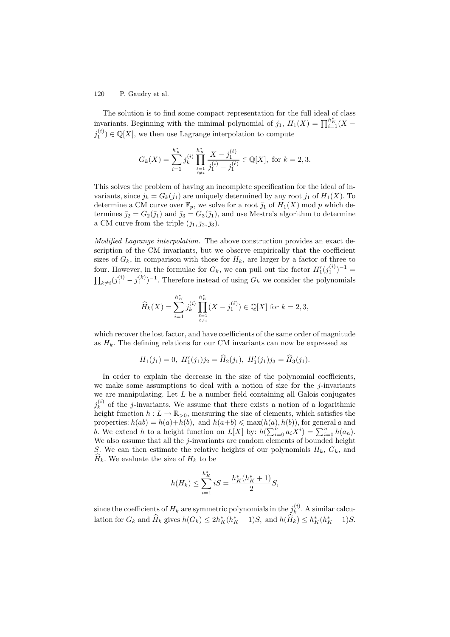The solution is to find some compact representation for the full ideal of class invariants. Beginning with the minimal polynomial of  $j_1$ ,  $H_1(X) = \prod_{i=1}^{h_K^*} (X$  $j_1^{(i)} \in \mathbb{Q}[X]$ , we then use Lagrange interpolation to compute

$$
G_k(X) = \sum_{i=1}^{h_K^*} j_k^{(i)} \prod_{\substack{\ell=1 \\ \ell \neq i}}^{h_K^*} \frac{X - j_1^{(\ell)}}{j_1^{(i)} - j_1^{(\ell)}} \in \mathbb{Q}[X], \text{ for } k = 2, 3.
$$

This solves the problem of having an incomplete specification for the ideal of invariants, since  $j_k = G_k(j_1)$  are uniquely determined by any root  $j_1$  of  $H_1(X)$ . To determine a CM curve over  $\mathbb{F}_p$ , we solve for a root  $\bar{j}_1$  of  $H_1(X)$  mod p which determines  $\bar{j}_2 = G_2(\bar{j}_1)$  and  $\bar{j}_3 = G_3(\bar{j}_1)$ , and use Mestre's algorithm to determine a CM curve from the triple  $(\bar{j}_1,\bar{j}_2,\bar{j}_3)$ .

*Modified Lagrange interpolation.* The above construction provides an exact description of the CM invariants, but we observe empirically that the coefficient sizes of  $G_k$ , in comparison with those for  $H_k$ , are larger by a factor of three to four. However, in the formulae for  $G_k$ , we can pull out the factor  $H'_1(j_1^{(i)})^{-1} =$  $\prod_{k\neq i} (j_1^{(i)} - j_1^{(k)})^{-1}$ . Therefore instead of using  $G_k$  we consider the polynomials

$$
\widehat{H}_k(X) = \sum_{i=1}^{h_K^*} j_k^{(i)} \prod_{\substack{\ell=1 \\ \ell \neq i}}^{h_K^*} (X - j_1^{(\ell)}) \in \mathbb{Q}[X] \text{ for } k = 2, 3,
$$

which recover the lost factor, and have coefficients of the same order of magnitude as  $H_k$ . The defining relations for our CM invariants can now be expressed as

$$
H_1(j_1) = 0, H'_1(j_1)j_2 = H_2(j_1), H'_1(j_1)j_3 = H_3(j_1).
$$

In order to explain the decrease in the size of the polynomial coefficients, we make some assumptions to deal with a notion of size for the  $j$ -invariants we are manipulating. Let  $L$  be a number field containing all Galois conjugates  $j_k^{(i)}$  of the *j*-invariants. We assume that there exists a notion of a logarithmic height function  $h: L \to \mathbb{R}_{>0}$ , measuring the size of elements, which satisfies the properties:  $h(ab) = h(a) + h(b)$ , and  $h(a+b) \le \max(h(a), h(b))$ , for general a and b. We extend h to a height function on  $L[X]$  by:  $h(\sum_{i=0}^{n} a_i X^i) = \sum_{i=0}^{n} h(a_n)$ . We also assume that all the  $j$ -invariants are random elements of bounded height S. We can then estimate the relative heights of our polynomials  $H_k$ ,  $G_k$ , and  $\widehat{H}_k$ . We evaluate the size of  $H_k$  to be

$$
h(H_k) \le \sum_{i=1}^{h_K^*} iS = \frac{h_K^*(h_K^* + 1)}{2}S,
$$

since the coefficients of  $H_k$  are symmetric polynomials in the  $j_k^{(i)}$ . A similar calculation for  $G_k$  and  $H_k$  gives  $h(G_k) \leq 2h_K^*(h_K^* - 1)S$ , and  $h(H_k) \leq h_K^*(h_K^* - 1)S$ .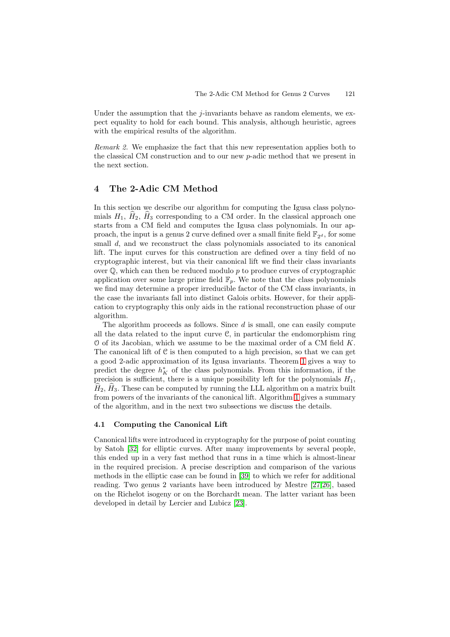Under the assumption that the  $j$ -invariants behave as random elements, we expect equality to hold for each bound. This analysis, although heuristic, agrees with the empirical results of the algorithm.

*Remark 2.* We emphasize the fact that this new representation applies both to the classical CM construction and to our new p-adic method that we present in the next section.

#### **4 The 2-Adic CM Method**

In this section we describe our algorithm for computing the Igusa class polynomials  $H_1$ ,  $H_2$ ,  $H_3$  corresponding to a CM order. In the classical approach one starts from a CM field and computes the Igusa class polynomials. In our approach, the input is a genus 2 curve defined over a small finite field  $\mathbb{F}_{2^d}$ , for some small d, and we reconstruct the class polynomials associated to its canonical lift. The input curves for this construction are defined over a tiny field of no cryptographic interest, but via their canonical lift we find their class invariants over  $\mathbb{Q}$ , which can then be reduced modulo  $p$  to produce curves of cryptographic application over some large prime field  $\mathbb{F}_p$ . We note that the class polynomials we find may determine a proper irreducible factor of the CM class invariants, in the case the invariants fall into distinct Galois orbits. However, for their application to cryptography this only aids in the rational reconstruction phase of our algorithm.

The algorithm proceeds as follows. Since d is small, one can easily compute all the data related to the input curve  $C$ , in particular the endomorphism ring  $\circ$  of its Jacobian, which we assume to be the maximal order of a CM field K. The canonical lift of  $C$  is then computed to a high precision, so that we can get a good 2-adic approximation of its Igusa invariants. Theorem 1 gives a way to predict the degree  $h_K^*$  of the class polynomials. From this information, if the precision is sufficient, there is a unique possibility left for the polynomials  $H_1$ ,  $H_2, H_3$ . These can be computed by running the LLL algorithm on a matrix built from powers of the invariants of the canonical lift. Algorithm 1 gives a summary of the algorithm, and in the next two subsections we discuss the details.

#### **4.1 Computing the Canonical Lift**

Canonical lifts were introduced in cryptography for the purpose of point counting by Satoh [32] for elliptic curves. After many improvements by several people, this ended up in a very fast method that runs in a time which is almost-linear in the required precision. A precise description and comparison of the various methods in the elliptic case can be found in [39] to which we refer for additional reading. Two genus 2 variants have been introduced by Mestre [27,26], based on the Richelot isogeny or on the Borchardt mean. The latter variant has been developed in detail by Lercier and Lubicz [23].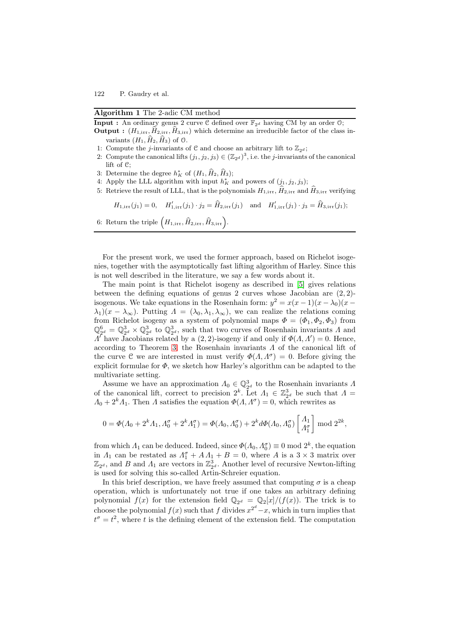#### **Algorithm 1** The 2-adic CM method

**Input :** An ordinary genus 2 curve C defined over  $\mathbb{F}_{2d}$  having CM by an order 0;

- **Output :**  $(H_{1,irr}, H_{2,irr}, H_{3,irr})$  which determine an irreducible factor of the class invariants  $(H_1, H_2, H_3)$  of 0.
- 1: Compute the *j*-invariants of C and choose an arbitrary lift to  $\mathbb{Z}_{2^d}$ ;
- 2: Compute the canonical lifts  $(j_1, j_2, j_3) \in (\mathbb{Z}_{2^d})^3$ , i.e. the *j*-invariants of the canonical lift of C;
- 3: Determine the degree  $h_K^*$  of  $(H_1, H_2, H_3)$ ;
- 4: Apply the LLL algorithm with input  $h_K^*$  and powers of  $(j_1, j_2, j_3)$ ;
- 5: Retrieve the result of LLL, that is the polynomials  $H_{1,irr}$ ,  $H_{2,irr}$  and  $H_{3,irr}$  verifying

$$
H_{1,\text{irr}}(j_1) = 0
$$
,  $H'_{1,\text{irr}}(j_1) \cdot j_2 = \hat{H}_{2,\text{irr}}(j_1)$  and  $H'_{1,\text{irr}}(j_1) \cdot j_3 = \hat{H}_{3,\text{irr}}(j_1)$ ;

6: Return the triple 
$$
(H_{1,\text{irr}}, \hat{H}_{2,\text{irr}}, \hat{H}_{3,\text{irr}})
$$
.

For the present work, we used the former approach, based on Richelot isogenies, together with the asymptotically fast lifting algorithm of Harley. Since this is not well described in the literature, we say a few words about it.

The main point is that Richelot isogeny as described in [5] gives relations between the defining equations of genus 2 curves whose Jacobian are  $(2, 2)$ isogenous. We take equations in the Rosenhain form:  $y^2 = x(x-1)(x-\lambda_0)(x \lambda_1(x - \lambda_\infty)$ . Putting  $\Lambda = (\lambda_0, \lambda_1, \lambda_\infty)$ , we can realize the relations coming from Richelot isogeny as a system of polynomial maps  $\Phi = (\Phi_1, \Phi_2, \Phi_3)$  from  $\mathbb{Q}_{2^d}^6 = \mathbb{Q}_{2^d}^3 \times \mathbb{Q}_{2^d}^3$  to  $\mathbb{Q}_{2^d}^3$ , such that two curves of Rosenhain invariants  $\Lambda$  and  $\Lambda'$  have Jacobians related by a  $(2, 2)$ -isogeny if and only if  $\Phi(\Lambda, \Lambda') = 0$ . Hence, according to Theorem 3, the Rosenhain invariants  $\Lambda$  of the canonical lift of the curve C we are interested in must verify  $\Phi(\Lambda, \Lambda^{\sigma})=0$ . Before giving the explicit formulae for  $\Phi$ , we sketch how Harley's algorithm can be adapted to the multivariate setting.

Assume we have an approximation  $\Lambda_0 \in \mathbb{Q}_{2^d}^3$  to the Rosenhain invariants  $\Lambda$ of the canonical lift, correct to precision  $2^k$ . Let  $\Lambda_1 \in \mathbb{Z}_{2^d}^3$  be such that  $\Lambda =$  $\Lambda_0 + 2^k \Lambda_1$ . Then  $\Lambda$  satisfies the equation  $\Phi(\Lambda, \Lambda^\sigma) = 0$ , which rewrites as

$$
0 = \Phi(\Lambda_0 + 2^k \Lambda_1, \Lambda_0^{\sigma} + 2^k \Lambda_1^{\sigma}) = \Phi(\Lambda_0, \Lambda_0^{\sigma}) + 2^k d\Phi(\Lambda_0, \Lambda_0^{\sigma}) \begin{bmatrix} \Lambda_1 \\ \Lambda_1^{\sigma} \end{bmatrix} \bmod 2^{2k},
$$

from which  $\Lambda_1$  can be deduced. Indeed, since  $\Phi(\Lambda_0, \Lambda_0^{\sigma}) \equiv 0 \text{ mod } 2^k$ , the equation in  $\Lambda_1$  can be restated as  $\Lambda_1^{\sigma} + A \Lambda_1 + B = 0$ , where A is a 3 × 3 matrix over  $\mathbb{Z}_{2^d}$ , and B and  $\Lambda_1$  are vectors in  $\mathbb{Z}_{2^d}^3$ . Another level of recursive Newton-lifting is used for solving this so-called Artin-Schreier equation.

In this brief description, we have freely assumed that computing  $\sigma$  is a cheap operation, which is unfortunately not true if one takes an arbitrary defining polynomial  $f(x)$  for the extension field  $\mathbb{Q}_{2^d} = \mathbb{Q}_2[x]/(f(x))$ . The trick is to choose the polynomial  $f(x)$  such that f divides  $x^{2^d}-x$ , which in turn implies that  $t^{\sigma} = t^2$ , where t is the defining element of the extension field. The computation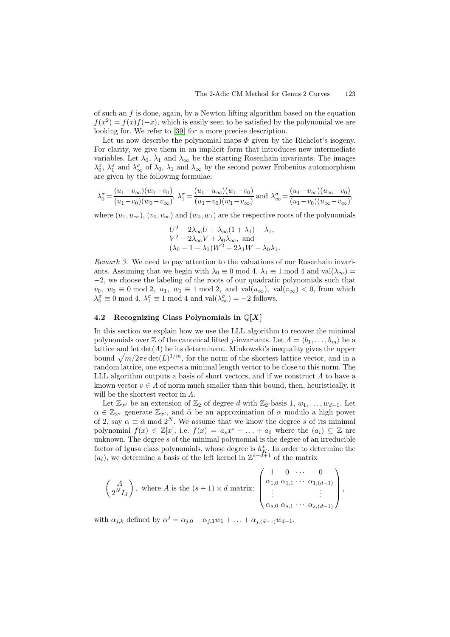of such an  $f$  is done, again, by a Newton lifting algorithm based on the equation  $f(x^2) = f(x)f(-x)$ , which is easily seen to be satisfied by the polynomial we are looking for. We refer to [39] for a more precise description.

Let us now describe the polynomial maps  $\Phi$  given by the Richelot's isogeny. For clarity, we give them in an implicit form that introduces new intermediate variables. Let  $\lambda_0$ ,  $\lambda_1$  and  $\lambda_\infty$  be the starting Rosenhain invariants. The images  $\lambda_0^{\sigma}$ ,  $\lambda_1^{\sigma}$  and  $\lambda_{\infty}^{\sigma}$  of  $\lambda_0$ ,  $\lambda_1$  and  $\lambda_{\infty}$  by the second power Frobenius automorphism are given by the following formulae:

$$
\lambda_0^{\sigma} = \frac{(u_1 - v_{\infty})(w_0 - v_0)}{(u_1 - v_0)(w_0 - v_{\infty})}, \ \lambda_1^{\sigma} = \frac{(u_1 - u_{\infty})(w_1 - v_0)}{(u_1 - v_0)(w_1 - v_{\infty})} \text{ and } \lambda_{\infty}^{\sigma} = \frac{(u_1 - v_{\infty})(u_{\infty} - v_0)}{(u_1 - v_0)(u_{\infty} - v_{\infty})},
$$

where  $(u_1, u_\infty), (v_0, v_\infty)$  and  $(w_0, w_1)$  are the respective roots of the polynomials

$$
U^2 - 2\lambda_{\infty}U + \lambda_{\infty}(1 + \lambda_1) - \lambda_1,
$$
  
\n
$$
V^2 - 2\lambda_{\infty}V + \lambda_0\lambda_{\infty}, \text{ and}
$$
  
\n
$$
(\lambda_0 - 1 - \lambda_1)W^2 + 2\lambda_1W - \lambda_0\lambda_1.
$$

*Remark 3.* We need to pay attention to the valuations of our Rosenhain invariants. Assuming that we begin with  $\lambda_0 \equiv 0 \mod 4$ ,  $\lambda_1 \equiv 1 \mod 4$  and  $val(\lambda_\infty) =$ −2, we choose the labeling of the roots of our quadratic polynomials such that  $v_0, w_0 \equiv 0 \mod 2, u_1, w_1 \equiv 1 \mod 2, \text{ and } \text{val}(u_\infty), \text{ val}(v_\infty) < 0, \text{ from which}$  $\lambda_0^{\sigma} \equiv 0 \mod 4$ ,  $\lambda_1^{\sigma} \equiv 1 \mod 4$  and  $\text{val}(\lambda_{\infty}^{\sigma}) = -2$  follows.

#### **4.2 Recognizing Class Polynomials in** Q**[***X***]**

In this section we explain how we use the LLL algorithm to recover the minimal polynomials over Z of the canonical lifted j-invariants. Let  $\Lambda = \langle b_1, \ldots, b_m \rangle$  be a lattice and let  $\det(A)$  be its determinant. Minkowski's inequality gives the upper bound  $\sqrt{m/2\pi e} \det(L)^{1/m}$ , for the norm of the shortest lattice vector, and in a random lattice, one expects a minimal length vector to be close to this norm. The LLL algorithm outputs a basis of short vectors, and if we construct  $\Lambda$  to have a known vector  $v \in A$  of norm much smaller than this bound, then, heuristically, it will be the shortest vector in  $\Lambda$ .

Let  $\mathbb{Z}_{2^d}$  be an extension of  $\mathbb{Z}_2$  of degree d with  $\mathbb{Z}_2$ -basis 1,  $w_1,\ldots,w_{d-1}$ . Let  $\alpha \in \mathbb{Z}_{2^d}$  generate  $\mathbb{Z}_{2^d}$ , and  $\tilde{\alpha}$  be an approximation of  $\alpha$  modulo a high power of 2, say  $\alpha \equiv \tilde{\alpha} \mod 2^N$ . We assume that we know the degree s of its minimal polynomial  $f(x) \in \mathbb{Z}[x]$ , i.e.  $f(x) = a_s x^s + \ldots + a_0$  where the  $(a_i) \subset \mathbb{Z}$  are unknown. The degree  $s$  of the minimal polynomial is the degree of an irreducible factor of Igusa class polynomials, whose degree is  $h_K^*$ . In order to determine the  $(a_i)$ , we determine a basis of the left kernel in  $\mathbb{Z}^{s+d+1}$  of the matrix

$$
\begin{pmatrix} A \\ 2^N I_d \end{pmatrix}
$$
, where A is the  $(s+1) \times d$  matrix: 
$$
\begin{pmatrix} 1 & 0 & \cdots & 0 \\ \alpha_{1,0} & \alpha_{1,1} & \cdots & \alpha_{1,(d-1)} \\ \vdots & & \vdots \\ \alpha_{s,0} & \alpha_{s,1} & \cdots & \alpha_{s,(d-1)} \end{pmatrix}
$$
,

with  $\alpha_{j,k}$  defined by  $\alpha^j = \alpha_{j,0} + \alpha_{j,1}w_1 + \ldots + \alpha_{j,(d-1)}w_{d-1}.$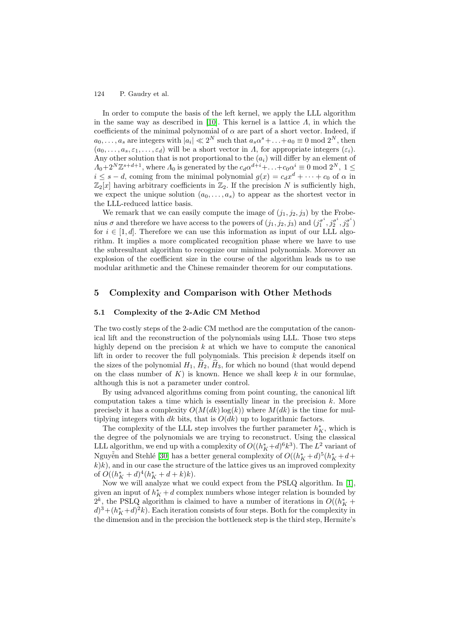In order to compute the basis of the left kernel, we apply the LLL algorithm in the same way as described in [10]. This kernel is a lattice  $\Lambda$ , in which the coefficients of the minimal polynomial of  $\alpha$  are part of a short vector. Indeed, if  $a_0, \ldots, a_s$  are integers with  $|a_i| \ll 2^N$  such that  $a_s \alpha^s + \ldots + a_0 \equiv 0 \mod 2^N$ , then  $(a_0,\ldots,a_s,\varepsilon_1,\ldots,\varepsilon_d)$  will be a short vector in  $\Lambda$ , for appropriate integers  $(\varepsilon_i)$ . Any other solution that is not proportional to the  $(a_i)$  will differ by an element of  $A_0+2^N\mathbb{Z}^{s+d+1}$ , where  $A_0$  is generated by the  $c_d\alpha^{d+i}+\ldots+c_0\alpha^i\equiv 0\,\,\text{mod}\,\,2^N$ ,  $1\leq$  $i \leq s - d$ , coming from the minimal polynomial  $g(x) = c_d x^d + \cdots + c_0$  of  $\alpha$  in  $\mathbb{Z}_2[x]$  having arbitrary coefficients in  $\mathbb{Z}_2$ . If the precision N is sufficiently high, we expect the unique solution  $(a_0, \ldots, a_s)$  to appear as the shortest vector in the LLL-reduced lattice basis.

We remark that we can easily compute the image of  $(j_1, j_2, j_3)$  by the Frobenius  $\sigma$  and therefore we have access to the powers of  $(j_1, j_2, j_3)$  and  $(j_1^{\sigma^i}, j_2^{\sigma^i}, j_3^{\sigma^i})$ for  $i \in [1, d]$ . Therefore we can use this information as input of our LLL algorithm. It implies a more complicated recognition phase where we have to use the subresultant algorithm to recognize our minimal polynomials. Moreover an explosion of the coefficient size in the course of the algorithm leads us to use modular arithmetic and the Chinese remainder theorem for our computations.

## **5 Complexity and Comparison with Other Methods**

#### **5.1 Complexity of the 2-Adic CM Method**

The two costly steps of the 2-adic CM method are the computation of the canonical lift and the reconstruction of the polynomials using LLL. Those two steps highly depend on the precision  $k$  at which we have to compute the canonical lift in order to recover the full polynomials. This precision  $k$  depends itself on the sizes of the polynomial  $H_1$ ,  $H_2$ ,  $H_3$ , for which no bound (that would depend on the class number of  $K$ ) is known. Hence we shall keep k in our formulae, although this is not a parameter under control.

By using advanced algorithms coming from point counting, the canonical lift computation takes a time which is essentially linear in the precision  $k$ . More precisely it has a complexity  $O(M(dk) \log(k))$  where  $M(dk)$  is the time for multiplying integers with dk bits, that is  $O(dk)$  up to logarithmic factors.

The complexity of the LLL step involves the further parameter  $h_K^*$ , which is the degree of the polynomials we are trying to reconstruct. Using the classical LLL algorithm, we end up with a complexity of  $O((h_K^*+d)^6k^3)$ . The  $L^2$  variant of Nguyễn and Stehlé [30] has a better general complexity of  $O((h_K^* + d)^5(h_K^* + d +$  $(k)$ , and in our case the structure of the lattice gives us an improved complexity of  $O((h_K^* + d)^4(h_K^* + d + k)k)$ .

Now we will analyze what we could expect from the PSLQ algorithm. In [1], given an input of  $h_K^* + d$  complex numbers whose integer relation is bounded by  $2^k$ , the PSLQ algorithm is claimed to have a number of iterations in  $O((h_K^* +$  $(d)^3 + (h_K^* + d)^2 k$ . Each iteration consists of four steps. Both for the complexity in the dimension and in the precision the bottleneck step is the third step, Hermite's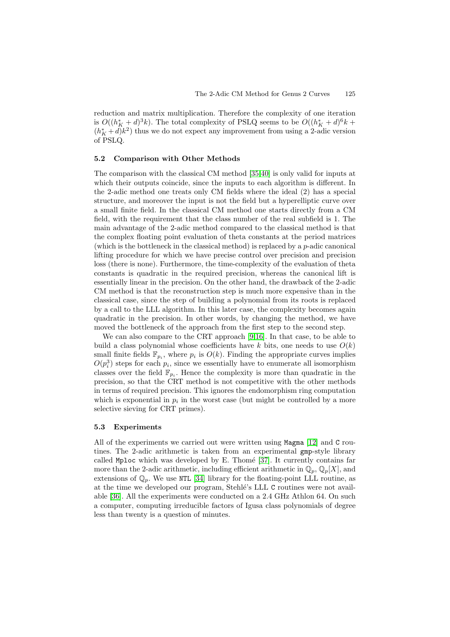reduction and matrix multiplication. Therefore the complexity of one iteration is  $O((h_K^* + d)^3 k)$ . The total complexity of PSLQ seems to be  $O((h_K^* + d)^6 k +$  $(h_K^* + d)k^2$  thus we do not expect any improvement from using a 2-adic version of PSLQ.

#### **5.2 Comparison with Other Methods**

The comparison with the classical CM method [35,40] is only valid for inputs at which their outputs coincide, since the inputs to each algorithm is different. In the 2-adic method one treats only CM fields where the ideal (2) has a special structure, and moreover the input is not the field but a hyperelliptic curve over a small finite field. In the classical CM method one starts directly from a CM field, with the requirement that the class number of the real subfield is 1. The main advantage of the 2-adic method compared to the classical method is that the complex floating point evaluation of theta constants at the period matrices (which is the bottleneck in the classical method) is replaced by a  $p$ -adic canonical lifting procedure for which we have precise control over precision and precision loss (there is none). Furthermore, the time-complexity of the evaluation of theta constants is quadratic in the required precision, whereas the canonical lift is essentially linear in the precision. On the other hand, the drawback of the 2-adic CM method is that the reconstruction step is much more expensive than in the classical case, since the step of building a polynomial from its roots is replaced by a call to the LLL algorithm. In this later case, the complexity becomes again quadratic in the precision. In other words, by changing the method, we have moved the bottleneck of the approach from the first step to the second step.

We can also compare to the CRT approach [9,16]. In that case, to be able to build a class polynomial whose coefficients have k bits, one needs to use  $O(k)$ small finite fields  $\mathbb{F}_{p_i}$ , where  $p_i$  is  $O(k)$ . Finding the appropriate curves implies  $O(p_i^3)$  steps for each  $p_i$ , since we essentially have to enumerate all isomorphism classes over the field  $\mathbb{F}_{p_i}$ . Hence the complexity is more than quadratic in the precision, so that the CRT method is not competitive with the other methods in terms of required precision. This ignores the endomorphism ring computation which is exponential in  $p_i$  in the worst case (but might be controlled by a more selective sieving for CRT primes).

#### **5.3 Experiments**

All of the experiments we carried out were written using Magma [12] and C routines. The 2-adic arithmetic is taken from an experimental gmp-style library called Mploc which was developed by E. Thome  $[37]$ . It currently contains far more than the 2-adic arithmetic, including efficient arithmetic in  $\mathbb{Q}_p$ ,  $\mathbb{Q}_p[X]$ , and extensions of  $\mathbb{Q}_p$ . We use NTL [34] library for the floating-point LLL routine, as at the time we developed our program, Stehlé's LLL C routines were not available [36]. All the experiments were conducted on a 2.4 GHz Athlon 64. On such a computer, computing irreducible factors of Igusa class polynomials of degree less than twenty is a question of minutes.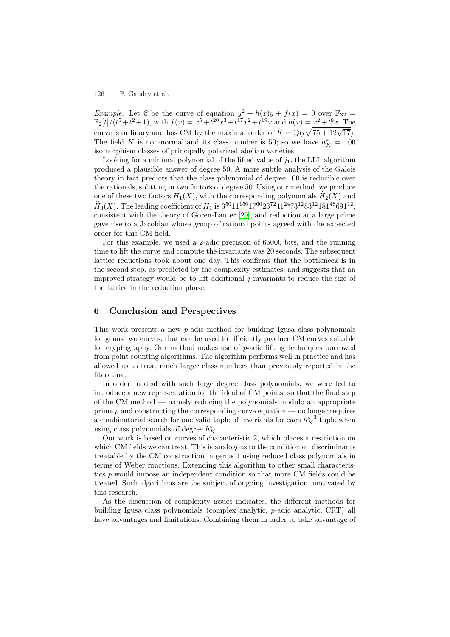*Example.* Let C be the curve of equation  $y^2 + h(x)y + f(x) = 0$  over  $\mathbb{F}_{32}$  $\mathbb{F}_2[t]/(t^5+t^2+1)$ , with  $f(x) = x^5+t^{20}x^3+t^{17}x^2+t^{19}x$  and  $h(x) = x^2+t^9x$ . The curve is ordinary and has CM by the maximal order of  $K = \mathbb{Q}(i\sqrt{75+12\sqrt{17}})$ . The field K is non-normal and its class number is 50; so we have  $h_K^* = 100$ isomorphism classes of principally polarized abelian varieties.

Looking for a minimal polynomial of the lifted value of  $j_1$ , the LLL algorithm produced a plausible answer of degree 50. A more subtle analysis of the Galois theory in fact predicts that the class polynomial of degree 100 is reducible over the rationals, splitting in two factors of degree 50. Using our method, we produce one of these two factors  $H_1(X)$ , with the corresponding polynomials  $\widehat{H}_2(X)$  and  $\hat{H}_3(X)$ . The leading coefficient of  $H_1$  is  $3^{50}11^{156}17^{60}23^{72}41^{24}73^{12}83^{12}181^{48}691^{12}$ , consistent with the theory of Goren-Lauter [20], and reduction at a large prime gave rise to a Jacobian whose group of rational points agreed with the expected order for this CM field.

For this example, we used a 2-adic precision of 65000 bits, and the running time to lift the curve and compute the invariants was 20 seconds. The subsequent lattice reductions took about one day. This confirms that the bottleneck is in the second step, as predicted by the complexity estimates, and suggests that an improved strategy would be to lift additional j-invariants to reduce the size of the lattice in the reduction phase.

### **6 Conclusion and Perspectives**

This work presents a new p-adic method for building Igusa class polynomials for genus two curves, that can be used to efficiently produce CM curves suitable for cryptography. Our method makes use of p-adic lifting techniques borrowed from point counting algorithms. The algorithm performs well in practice and has allowed us to treat much larger class numbers than previously reported in the literature.

In order to deal with such large degree class polynomials, we were led to introduce a new representation for the ideal of CM points, so that the final step of the CM method — namely reducing the polynomials modulo an appropriate prime  $p$  and constructing the corresponding curve equation — no longer requires a combinatorial search for one valid tuple of invariants for each  $h_K^*$  tuple when using class polynomials of degree  $h_K^*$ .

Our work is based on curves of characteristic 2, which places a restriction on which CM fields we can treat. This is analogous to the condition on discriminants treatable by the CM construction in genus 1 using reduced class polynomials in terms of Weber functions. Extending this algorithm to other small characteristics p would impose an independent condition so that more CM fields could be treated. Such algorithms are the subject of ongoing investigation, motivated by this research.

As the discussion of complexity issues indicates, the different methods for building Igusa class polynomials (complex analytic, p-adic analytic, CRT) all have advantages and limitations. Combining them in order to take advantage of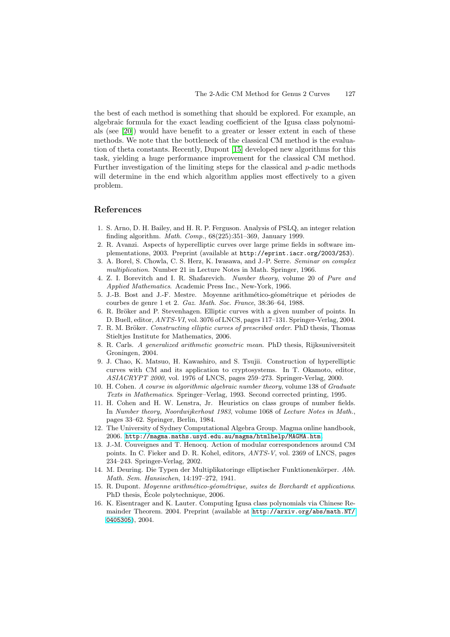the best of each method is something that should be explored. For example, an algebraic formula for the exact leading coefficient of the Igusa class polynomials (see [20]) would have benefit to a greater or lesser extent in each of these methods. We note that the bottleneck of the classical CM method is the evaluation of theta constants. Recently, Dupont [15] developed new algorithms for this task, yielding a huge performance improvement for the classical CM method. Further investigation of the limiting steps for the classical and p-adic methods will determine in the end which algorithm applies most effectively to a given problem.

## **References**

- 1. S. Arno, D. H. Bailey, and H. R. P. Ferguson. Analysis of PSLQ, an integer relation finding algorithm. Math. Comp., 68(225):351–369, January 1999.
- 2. R. Avanzi. Aspects of hyperelliptic curves over large prime fields in software implementations, 2003. Preprint (available at http://eprint.iacr.org/2003/253).
- 3. A. Borel, S. Chowla, C. S. Herz, K. Iwasawa, and J.-P. Serre. Seminar on complex multiplication. Number 21 in Lecture Notes in Math. Springer, 1966.
- 4. Z. I. Borevitch and I. R. Shafarevich. Number theory, volume 20 of Pure and Applied Mathematics. Academic Press Inc., New-York, 1966.
- 5. J.-B. Bost and J.-F. Mestre. Moyenne arithmético-géométrique et périodes de courbes de genre 1 et 2. Gaz. Math. Soc. France, 38:36–64, 1988.
- 6. R. Bröker and P. Stevenhagen. Elliptic curves with a given number of points. In D. Buell, editor, ANTS-VI, vol. 3076 of LNCS, pages 117–131. Springer-Verlag, 2004.
- 7. R. M. Bröker. Constructing elliptic curves of prescribed order. PhD thesis, Thomas Stieltjes Institute for Mathematics, 2006.
- 8. R. Carls. A generalized arithmetic geometric mean. PhD thesis, Rijksuniversiteit Groningen, 2004.
- 9. J. Chao, K. Matsuo, H. Kawashiro, and S. Tsujii. Construction of hyperelliptic curves with CM and its application to cryptosystems. In T. Okamoto, editor, ASIACRYPT 2000, vol. 1976 of LNCS, pages 259–273. Springer-Verlag, 2000.
- 10. H. Cohen. A course in algorithmic algebraic number theory, volume 138 of Graduate Texts in Mathematics. Springer–Verlag, 1993. Second corrected printing, 1995.
- 11. H. Cohen and H. W. Lenstra, Jr. Heuristics on class groups of number fields. In Number theory, Noordwijkerhout 1983, volume 1068 of Lecture Notes in Math., pages 33–62. Springer, Berlin, 1984.
- 12. The University of Sydney Computational Algebra Group. Magma online handbook, 2006. <http://magma.maths.usyd.edu.au/magma/htmlhelp/MAGMA.htm>.
- 13. J.-M. Couveignes and T. Henocq. Action of modular correspondences around CM points. In C. Fieker and D. R. Kohel, editors, ANTS-V, vol. 2369 of LNCS, pages 234–243. Springer-Verlag, 2002.
- 14. M. Deuring. Die Typen der Multiplikatoringe elliptischer Funktionenkörper. Abh. Math. Sem. Hansischen, 14:197–272, 1941.
- 15. R. Dupont. Moyenne arithmético-géométrique, suites de Borchardt et applications. PhD thesis, École polytechnique, 2006.
- 16. K. Eisentrager and K. Lauter. Computing Igusa class polynomials via Chinese Remainder Theorem. 2004. Preprint (available at [http://arxiv.org/abs/math.NT/](http://arxiv.org/abs/math.NT/0405305) [0405305](http://arxiv.org/abs/math.NT/0405305)), 2004.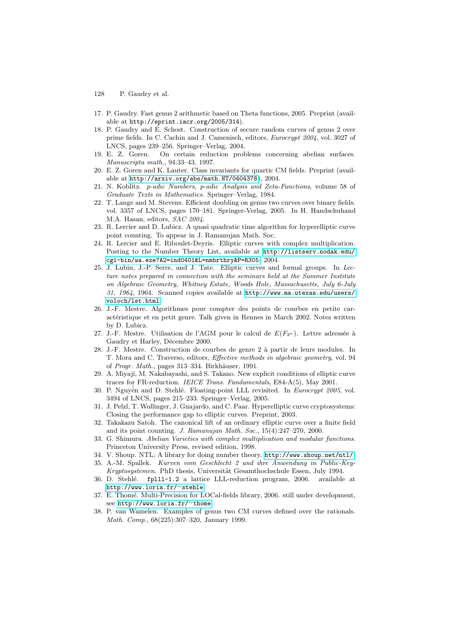- 17. P. Gaudry. Fast genus 2 arithmetic based on Theta functions, 2005. Preprint (available at http://eprint.iacr.org/2005/314).
- 18. P. Gaudry and E. Schost. Construction of secure random curves of genus 2 over ´ prime fields. In C. Cachin and J. Camenisch, editors, Eurocrypt 2004, vol. 3027 of LNCS, pages 239–256. Springer–Verlag, 2004.
- 19. E. Z. Goren. On certain reduction problems concerning abelian surfaces. Manuscripta math., 94:33–43, 1997.
- 20. E. Z. Goren and K. Lauter. Class invariants for quartic CM fields. Preprint (available at <http://arxiv.org/abs/math.NT/0404378>), 2004.
- 21. N. Koblitz. p-adic Numbers, p-adic Analysis and Zeta-Functions, volume 58 of Graduate Texts in Mathematics. Springer–Verlag, 1984.
- 22. T. Lange and M. Stevens. Efficient doubling on genus two curves over binary fields. vol. 3357 of LNCS, pages 170–181. Springer-Verlag, 2005. In H. Handschuhand M.A. Hasan, editors, SAC 2004.
- 23. R. Lercier and D. Lubicz. A quasi quadratic time algorithm for hyperelliptic curve point counting. To appear in J. Ramanujan Math. Soc.
- 24. R. Lercier and E. Riboulet-Deyris. Elliptic curves with complex multiplication. Posting to the Number Theory List, available at [http://listserv.nodak.edu/](http://listserv.nodak.edu/cgi-bin/wa.exe?A2=ind0401&L=nmbrthry&P=R305) [cgi-bin/wa.exe?A2=ind0401&L=nmbrthry&P=R305](http://listserv.nodak.edu/cgi-bin/wa.exe?A2=ind0401&L=nmbrthry&P=R305), 2004.
- 25. J. Lubin, J.-P. Serre, and J. Tate. Elliptic curves and formal groups. In Lecture notes prepared in connection with the seminars held at the Summer Institute on Algebraic Geometry, Whitney Estate, Woods Hole, Massachusetts, July 6-July 31, 1964, 1964. Scanned copies available at [http://www.ma.utexas.edu/users/](http://www.ma.utexas.edu/users/voloch/lst.html) [voloch/lst.html](http://www.ma.utexas.edu/users/voloch/lst.html).
- 26. J.-F. Mestre. Algorithmes pour compter des points de courbes en petite caractéristique et en petit genre. Talk given in Rennes in March 2002. Notes written by D. Lubicz.
- 27. J.-F. Mestre. Utilisation de l'AGM pour le calcul de  $E(F_{2^n})$ . Lettre adressée à Gaudry et Harley, Décembre 2000.
- 28. J.-F. Mestre. Construction de courbes de genre 2 à partir de leurs modules. In T. Mora and C. Traverso, editors, Effective methods in algebraic geometry, vol. 94 of Progr. Math., pages 313–334. Birkhäuser, 1991.
- 29. A. Miyaji, M. Nakabayashi, and S. Takano. New explicit conditions of elliptic curve traces for FR-reduction. IEICE Trans. Fundamentals, E84-A(5), May 2001.
- 30. P. Nguyễn and D. Stehlé. Floating-point LLL revisited. In Eurocrypt 2005, vol. 3494 of LNCS, pages 215–233. Springer–Verlag, 2005.
- 31. J. Pelzl, T. Wollinger, J. Guajardo, and C. Paar. Hyperelliptic curve cryptosystems: Closing the performance gap to elliptic curves. Preprint, 2003.
- 32. Takakazu Satoh. The canonical lift of an ordinary elliptic curve over a finite field and its point counting. J. Ramanujan Math. Soc., 15(4):247–270, 2000.
- 33. G. Shimura. Abelian Varieties with complex multiplication and modular functions. Princeton University Press, revised edition, 1998.
- 34. V. Shoup. NTL: A library for doing number theory. <http://www.shoup.net/ntl/>.
- 35. A.-M. Spallek. Kurven vom Geschlecht 2 und ihre Anwendung in Public-Key-Kryptosystemen. PhD thesis, Universität Gesamthochschule Essen, July 1994.
- 36. D. Stehl´e. fplll-1.2 a lattice LLL-reduction program, 2006. available at [http://www.loria.fr/](http://www.loria.fr/~stehle)∼stehle.
- 37. E. Thomé. Multi-Precision for LOCal-fields library, 2006. still under development, see [http://www.loria.fr/](http://www.loria.fr/~thome)∼thome.
- 38. P. van Wamelen. Examples of genus two CM curves defined over the rationals. Math. Comp., 68(225):307–320, January 1999.